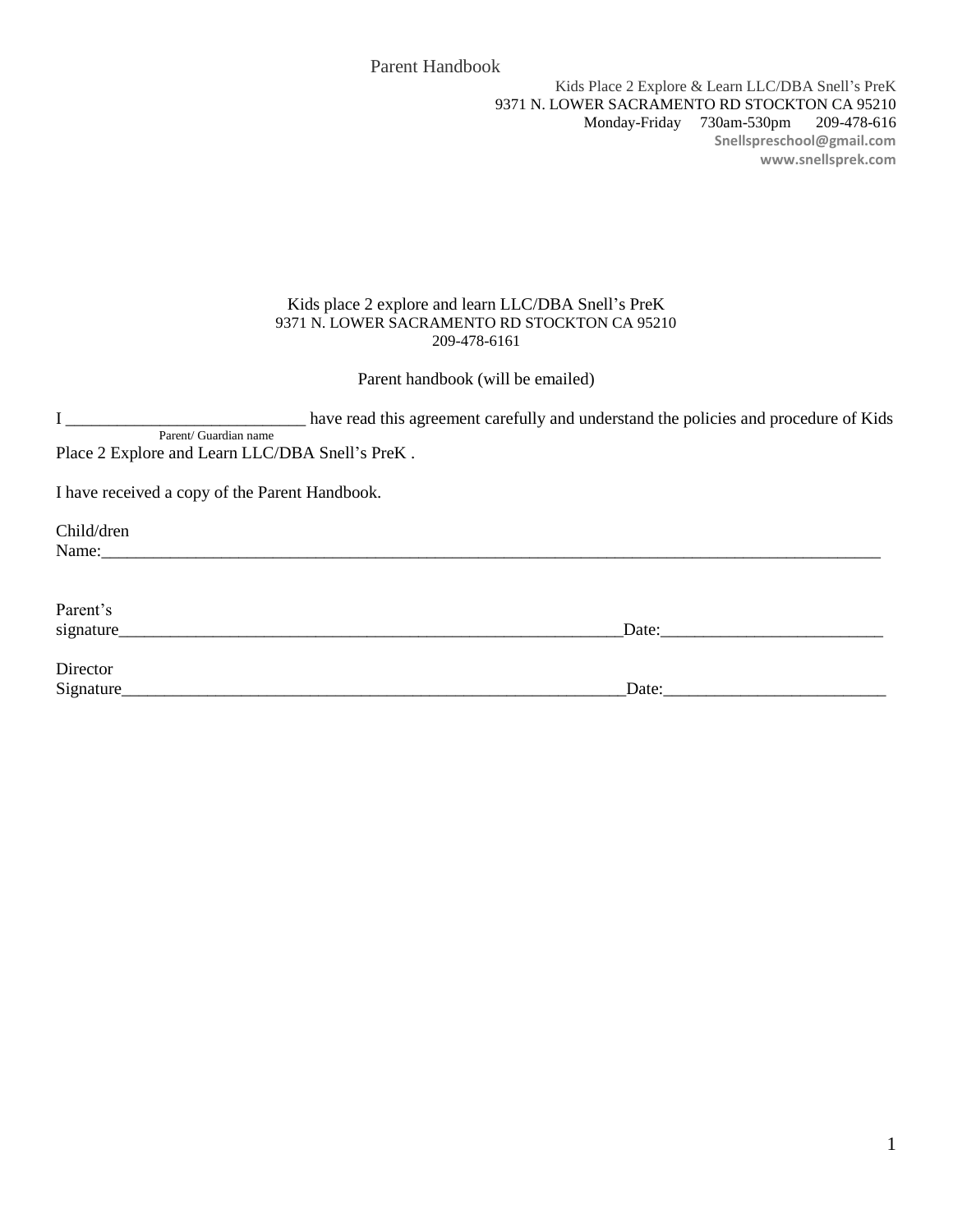### Kids place 2 explore and learn LLC/DBA Snell's PreK 9371 N. LOWER SACRAMENTO RD STOCKTON CA 95210 209-478-6161

Parent handbook (will be emailed)

I \_\_\_\_\_\_\_\_\_\_\_\_\_\_\_\_\_\_\_\_\_\_\_\_\_\_\_\_ have read this agreement carefully and understand the policies and procedure of Kids Parent/ Guardian name

Place 2 Explore and Learn LLC/DBA Snell's PreK .

I have received a copy of the Parent Handbook.

Child/dren Name: Parent's signature\_\_\_\_\_\_\_\_\_\_\_\_\_\_\_\_\_\_\_\_\_\_\_\_\_\_\_\_\_\_\_\_\_\_\_\_\_\_\_\_\_\_\_\_\_\_\_\_\_\_\_\_\_\_\_\_\_\_\_Date:\_\_\_\_\_\_\_\_\_\_\_\_\_\_\_\_\_\_\_\_\_\_\_\_\_\_ Director Signature\_\_\_\_\_\_\_\_\_\_\_\_\_\_\_\_\_\_\_\_\_\_\_\_\_\_\_\_\_\_\_\_\_\_\_\_\_\_\_\_\_\_\_\_\_\_\_\_\_\_\_\_\_\_\_\_\_\_\_Date:\_\_\_\_\_\_\_\_\_\_\_\_\_\_\_\_\_\_\_\_\_\_\_\_\_\_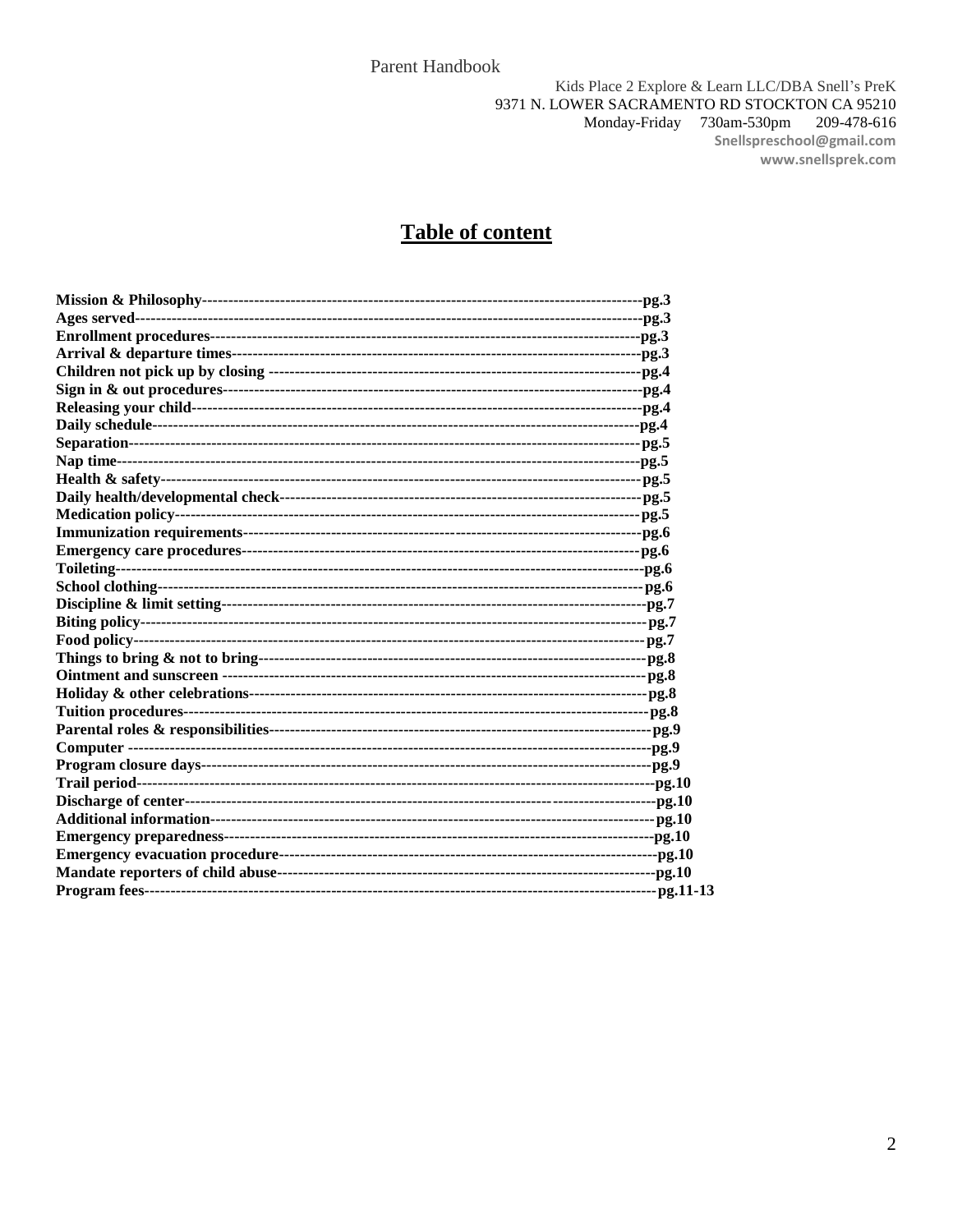# **Table of content**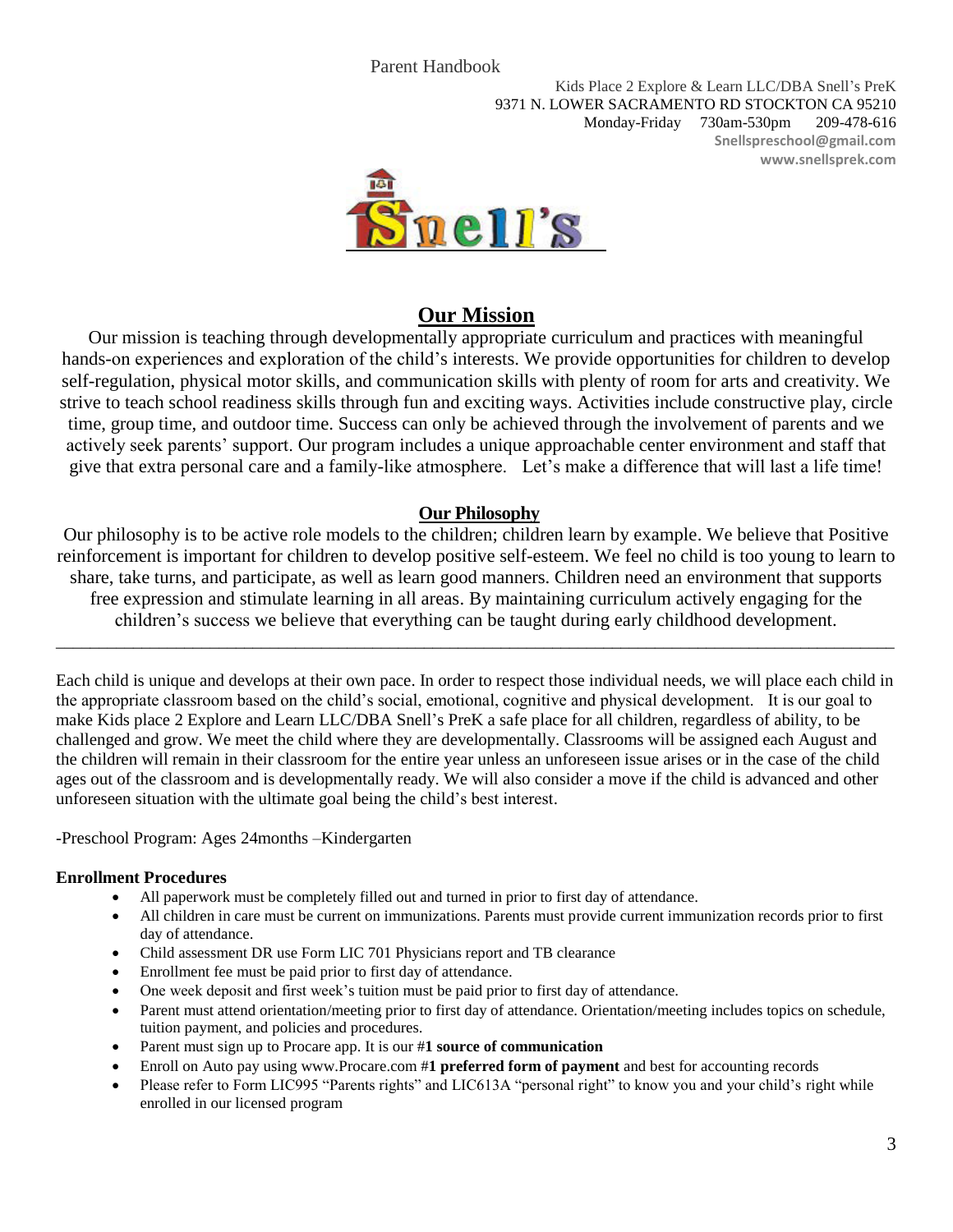Kids Place 2 Explore & Learn LLC/DBA Snell's PreK 9371 N. LOWER SACRAMENTO RD STOCKTON CA 95210 Monday-Friday 730am-530pm 209-478-616 **Snellspreschool@gmail.com www.snellsprek.com**



# **Our Mission**

Our mission is teaching through developmentally appropriate curriculum and practices with meaningful hands-on experiences and exploration of the child's interests. We provide opportunities for children to develop self-regulation, physical motor skills, and communication skills with plenty of room for arts and creativity. We strive to teach school readiness skills through fun and exciting ways. Activities include constructive play, circle time, group time, and outdoor time. Success can only be achieved through the involvement of parents and we actively seek parents' support. Our program includes a unique approachable center environment and staff that give that extra personal care and a family-like atmosphere. Let's make a difference that will last a life time!

# **Our Philosophy**

Our philosophy is to be active role models to the children; children learn by example. We believe that Positive reinforcement is important for children to develop positive self-esteem. We feel no child is too young to learn to share, take turns, and participate, as well as learn good manners. Children need an environment that supports free expression and stimulate learning in all areas. By maintaining curriculum actively engaging for the children's success we believe that everything can be taught during early childhood development.

\_\_\_\_\_\_\_\_\_\_\_\_\_\_\_\_\_\_\_\_\_\_\_\_\_\_\_\_\_\_\_\_\_\_\_\_\_\_\_\_\_\_\_\_\_\_\_\_\_\_\_\_\_\_\_\_\_\_\_\_\_\_\_\_\_\_\_\_\_\_\_\_\_\_\_\_\_\_\_\_\_\_\_\_\_\_\_\_\_\_\_\_\_\_\_\_\_\_

Each child is unique and develops at their own pace. In order to respect those individual needs, we will place each child in the appropriate classroom based on the child's social, emotional, cognitive and physical development. It is our goal to make Kids place 2 Explore and Learn LLC/DBA Snell's PreK a safe place for all children, regardless of ability, to be challenged and grow. We meet the child where they are developmentally. Classrooms will be assigned each August and the children will remain in their classroom for the entire year unless an unforeseen issue arises or in the case of the child ages out of the classroom and is developmentally ready. We will also consider a move if the child is advanced and other unforeseen situation with the ultimate goal being the child's best interest.

-Preschool Program: Ages 24months –Kindergarten

# **Enrollment Procedures**

- All paperwork must be completely filled out and turned in prior to first day of attendance.
- All children in care must be current on immunizations. Parents must provide current immunization records prior to first day of attendance.
- Child assessment DR use Form LIC 701 Physicians report and TB clearance
- Enrollment fee must be paid prior to first day of attendance.
- One week deposit and first week's tuition must be paid prior to first day of attendance.
- Parent must attend orientation/meeting prior to first day of attendance. Orientation/meeting includes topics on schedule, tuition payment, and policies and procedures.
- Parent must sign up to Procare app. It is our #**1 source of communication**
- Enroll on Auto pay using www.Procare.com #**1 preferred form of payment** and best for accounting records
- Please refer to Form LIC995 "Parents rights" and LIC613A "personal right" to know you and your child's right while enrolled in our licensed program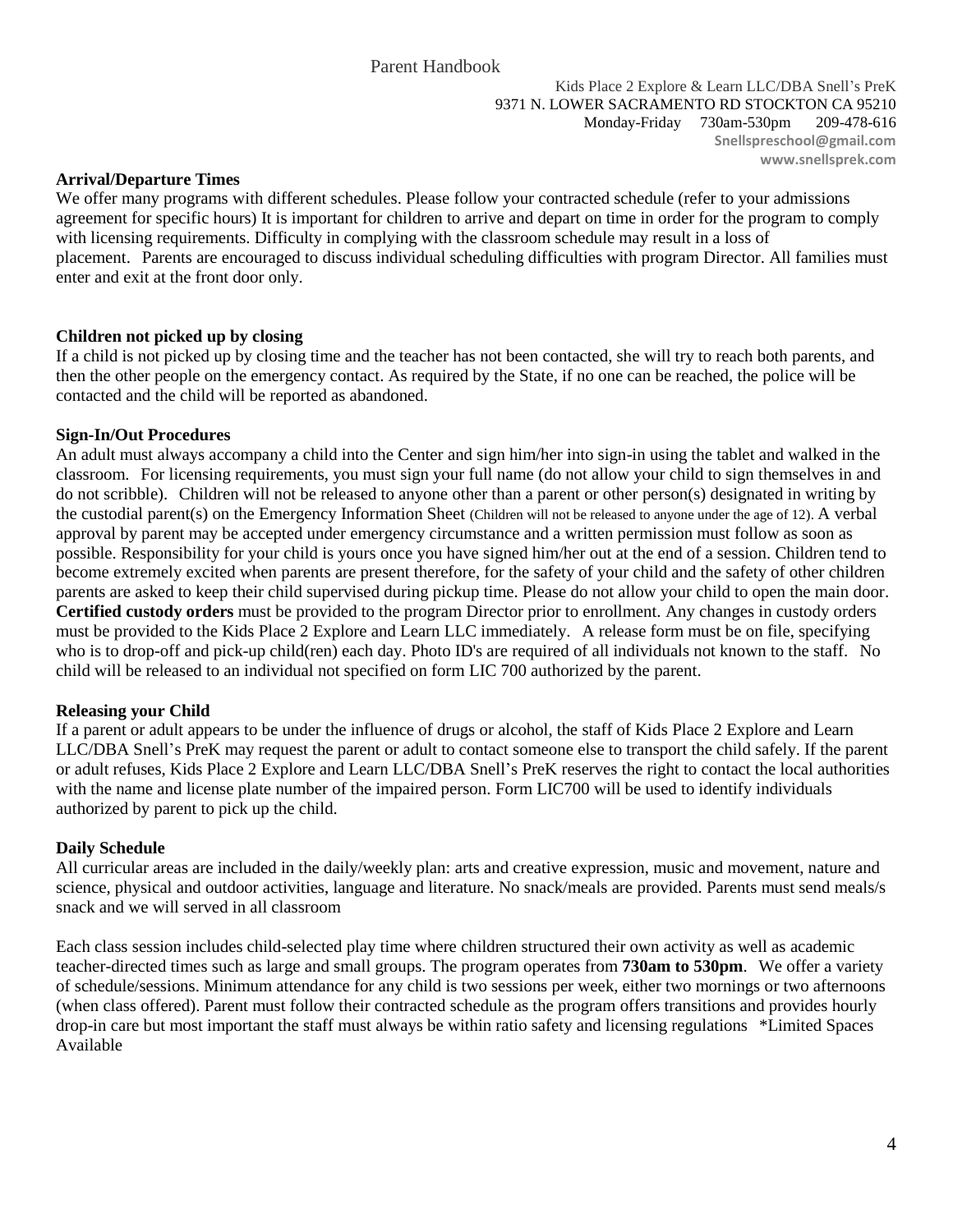Kids Place 2 Explore & Learn LLC/DBA Snell's PreK 9371 N. LOWER SACRAMENTO RD STOCKTON CA 95210 Monday-Friday 730am-530pm 209-478-616 **Snellspreschool@gmail.com www.snellsprek.com**

### **Arrival/Departure Times**

We offer many programs with different schedules. Please follow your contracted schedule (refer to your admissions agreement for specific hours) It is important for children to arrive and depart on time in order for the program to comply with licensing requirements. Difficulty in complying with the classroom schedule may result in a loss of placement. Parents are encouraged to discuss individual scheduling difficulties with program Director. All families must enter and exit at the front door only.

# **Children not picked up by closing**

If a child is not picked up by closing time and the teacher has not been contacted, she will try to reach both parents, and then the other people on the emergency contact. As required by the State, if no one can be reached, the police will be contacted and the child will be reported as abandoned.

# **Sign-In/Out Procedures**

An adult must always accompany a child into the Center and sign him/her into sign-in using the tablet and walked in the classroom. For licensing requirements, you must sign your full name (do not allow your child to sign themselves in and do not scribble). Children will not be released to anyone other than a parent or other person(s) designated in writing by the custodial parent(s) on the Emergency Information Sheet (Children will not be released to anyone under the age of 12). A verbal approval by parent may be accepted under emergency circumstance and a written permission must follow as soon as possible. Responsibility for your child is yours once you have signed him/her out at the end of a session. Children tend to become extremely excited when parents are present therefore, for the safety of your child and the safety of other children parents are asked to keep their child supervised during pickup time. Please do not allow your child to open the main door. **Certified custody orders** must be provided to the program Director prior to enrollment. Any changes in custody orders must be provided to the Kids Place 2 Explore and Learn LLC immediately. A release form must be on file, specifying who is to drop-off and pick-up child(ren) each day. Photo ID's are required of all individuals not known to the staff. No child will be released to an individual not specified on form LIC 700 authorized by the parent.

# **Releasing your Child**

If a parent or adult appears to be under the influence of drugs or alcohol, the staff of Kids Place 2 Explore and Learn LLC/DBA Snell's PreK may request the parent or adult to contact someone else to transport the child safely. If the parent or adult refuses, Kids Place 2 Explore and Learn LLC/DBA Snell's PreK reserves the right to contact the local authorities with the name and license plate number of the impaired person. Form LIC700 will be used to identify individuals authorized by parent to pick up the child.

# **Daily Schedule**

All curricular areas are included in the daily/weekly plan: arts and creative expression, music and movement, nature and science, physical and outdoor activities, language and literature. No snack/meals are provided. Parents must send meals/s snack and we will served in all classroom

Each class session includes child-selected play time where children structured their own activity as well as academic teacher-directed times such as large and small groups. The program operates from **730am to 530pm**. We offer a variety of schedule/sessions. Minimum attendance for any child is two sessions per week, either two mornings or two afternoons (when class offered). Parent must follow their contracted schedule as the program offers transitions and provides hourly drop-in care but most important the staff must always be within ratio safety and licensing regulations \*Limited Spaces Available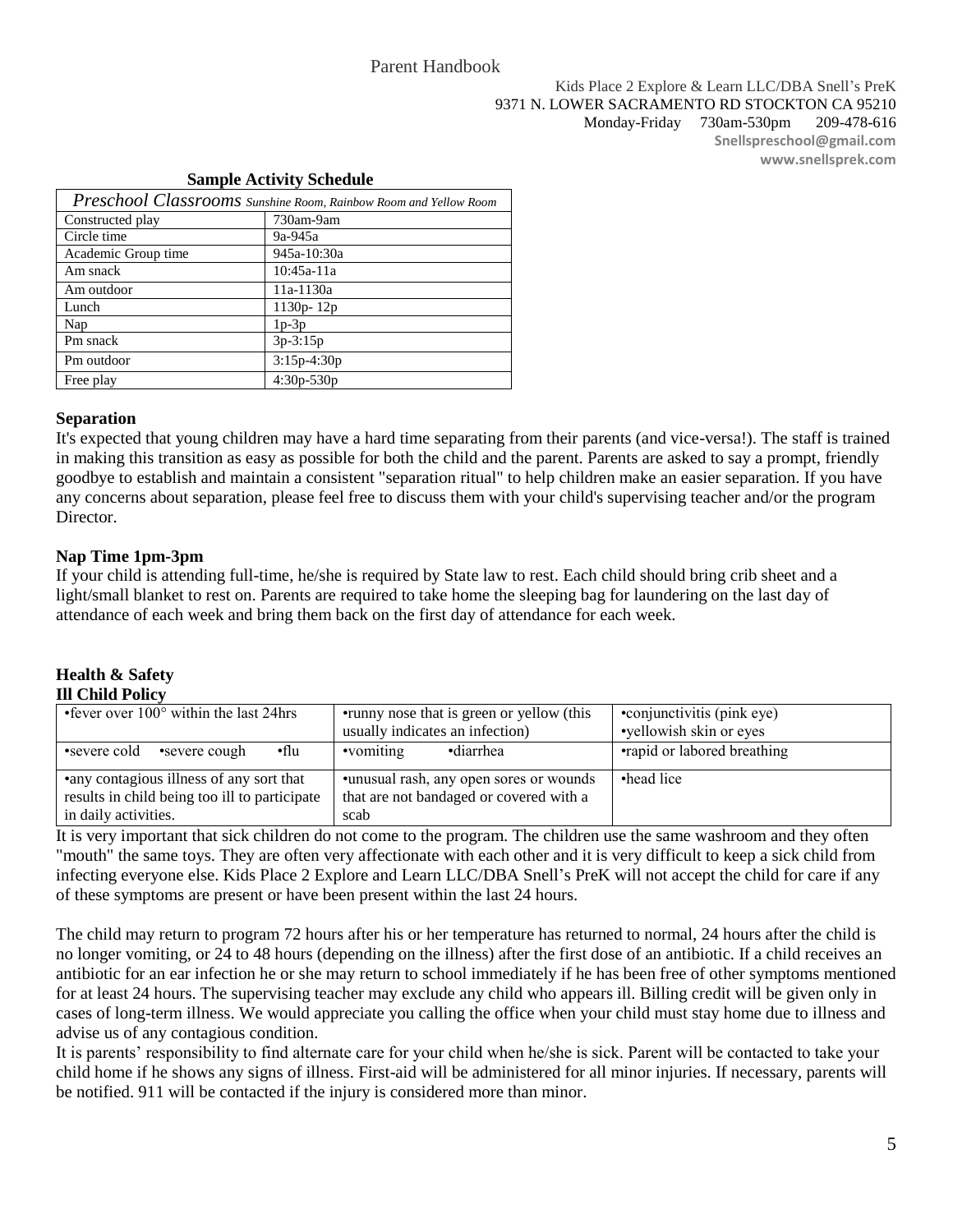### Kids Place 2 Explore & Learn LLC/DBA Snell's PreK 9371 N. LOWER SACRAMENTO RD STOCKTON CA 95210 Monday-Friday 730am-530pm 209-478-616 **Snellspreschool@gmail.com www.snellsprek.com**

### **Sample Activity Schedule**

| Preschool Classrooms Sunshine Room, Rainbow Room and Yellow Room |               |  |
|------------------------------------------------------------------|---------------|--|
| Constructed play                                                 | 730am-9am     |  |
| Circle time                                                      | 9a-945a       |  |
| Academic Group time                                              | 945a-10:30a   |  |
| Am snack                                                         | 10:45a-11a    |  |
| Am outdoor                                                       | 11a-1130a     |  |
| Lunch                                                            | $1130p - 12p$ |  |
| Nap                                                              | $1p-3p$       |  |
| Pm snack                                                         | $3p-3:15p$    |  |
| Pm outdoor                                                       | $3:15p-4:30p$ |  |
| Free play                                                        | $4:30p-530p$  |  |

### **Separation**

It's expected that young children may have a hard time separating from their parents (and vice-versa!). The staff is trained in making this transition as easy as possible for both the child and the parent. Parents are asked to say a prompt, friendly goodbye to establish and maintain a consistent "separation ritual" to help children make an easier separation. If you have any concerns about separation, please feel free to discuss them with your child's supervising teacher and/or the program Director.

# **Nap Time 1pm-3pm**

If your child is attending full-time, he/she is required by State law to rest. Each child should bring crib sheet and a light/small blanket to rest on. Parents are required to take home the sleeping bag for laundering on the last day of attendance of each week and bring them back on the first day of attendance for each week.

### **Health & Safety Ill Child Policy**

| • fever over $100^{\circ}$ within the last 24hrs                                                                   | • runny nose that is green or yellow (this<br>usually indicates an infection)              | •conjunctivitis (pink eye)<br>•yellowish skin or eyes |
|--------------------------------------------------------------------------------------------------------------------|--------------------------------------------------------------------------------------------|-------------------------------------------------------|
| ∙flu<br>•severe cold<br>•severe cough                                                                              | •diarrhea<br>•vomiting                                                                     | •rapid or labored breathing                           |
| • any contagious illness of any sort that<br>results in child being too ill to participate<br>in daily activities. | •unusual rash, any open sores or wounds<br>that are not bandaged or covered with a<br>scab | •head lice                                            |

It is very important that sick children do not come to the program. The children use the same washroom and they often "mouth" the same toys. They are often very affectionate with each other and it is very difficult to keep a sick child from infecting everyone else. Kids Place 2 Explore and Learn LLC/DBA Snell's PreK will not accept the child for care if any of these symptoms are present or have been present within the last 24 hours.

The child may return to program 72 hours after his or her temperature has returned to normal, 24 hours after the child is no longer vomiting, or 24 to 48 hours (depending on the illness) after the first dose of an antibiotic. If a child receives an antibiotic for an ear infection he or she may return to school immediately if he has been free of other symptoms mentioned for at least 24 hours. The supervising teacher may exclude any child who appears ill. Billing credit will be given only in cases of long-term illness. We would appreciate you calling the office when your child must stay home due to illness and advise us of any contagious condition.

It is parents' responsibility to find alternate care for your child when he/she is sick. Parent will be contacted to take your child home if he shows any signs of illness. First-aid will be administered for all minor injuries. If necessary, parents will be notified. 911 will be contacted if the injury is considered more than minor.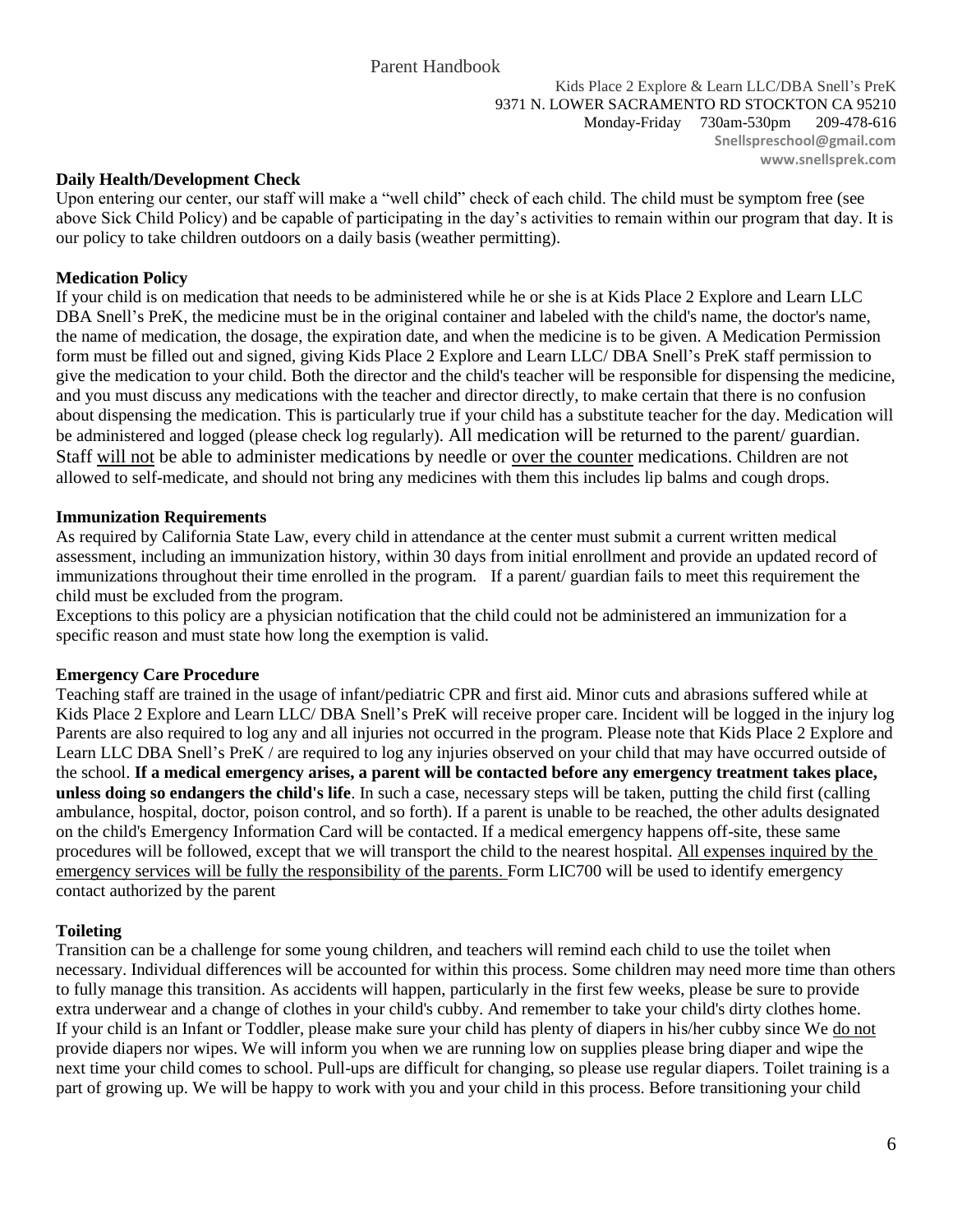Kids Place 2 Explore & Learn LLC/DBA Snell's PreK 9371 N. LOWER SACRAMENTO RD STOCKTON CA 95210 Monday-Friday 730am-530pm 209-478-616 **Snellspreschool@gmail.com www.snellsprek.com**

### **Daily Health/Development Check**

Upon entering our center, our staff will make a "well child" check of each child. The child must be symptom free (see above Sick Child Policy) and be capable of participating in the day's activities to remain within our program that day. It is our policy to take children outdoors on a daily basis (weather permitting).

# **Medication Policy**

If your child is on medication that needs to be administered while he or she is at Kids Place 2 Explore and Learn LLC DBA Snell's PreK, the medicine must be in the original container and labeled with the child's name, the doctor's name, the name of medication, the dosage, the expiration date, and when the medicine is to be given. A Medication Permission form must be filled out and signed, giving Kids Place 2 Explore and Learn LLC/ DBA Snell's PreK staff permission to give the medication to your child. Both the director and the child's teacher will be responsible for dispensing the medicine, and you must discuss any medications with the teacher and director directly, to make certain that there is no confusion about dispensing the medication. This is particularly true if your child has a substitute teacher for the day. Medication will be administered and logged (please check log regularly). All medication will be returned to the parent/ guardian. Staff will not be able to administer medications by needle or over the counter medications. Children are not allowed to self-medicate, and should not bring any medicines with them this includes lip balms and cough drops.

# **Immunization Requirements**

As required by California State Law, every child in attendance at the center must submit a current written medical assessment, including an immunization history, within 30 days from initial enrollment and provide an updated record of immunizations throughout their time enrolled in the program. If a parent/ guardian fails to meet this requirement the child must be excluded from the program.

Exceptions to this policy are a physician notification that the child could not be administered an immunization for a specific reason and must state how long the exemption is valid.

# **Emergency Care Procedure**

Teaching staff are trained in the usage of infant/pediatric CPR and first aid. Minor cuts and abrasions suffered while at Kids Place 2 Explore and Learn LLC/ DBA Snell's PreK will receive proper care. Incident will be logged in the injury log Parents are also required to log any and all injuries not occurred in the program. Please note that Kids Place 2 Explore and Learn LLC DBA Snell's PreK / are required to log any injuries observed on your child that may have occurred outside of the school. **If a medical emergency arises, a parent will be contacted before any emergency treatment takes place, unless doing so endangers the child's life**. In such a case, necessary steps will be taken, putting the child first (calling ambulance, hospital, doctor, poison control, and so forth). If a parent is unable to be reached, the other adults designated on the child's Emergency Information Card will be contacted. If a medical emergency happens off-site, these same procedures will be followed, except that we will transport the child to the nearest hospital. All expenses inquired by the emergency services will be fully the responsibility of the parents. Form LIC700 will be used to identify emergency contact authorized by the parent

# **Toileting**

Transition can be a challenge for some young children, and teachers will remind each child to use the toilet when necessary. Individual differences will be accounted for within this process. Some children may need more time than others to fully manage this transition. As accidents will happen, particularly in the first few weeks, please be sure to provide extra underwear and a change of clothes in your child's cubby. And remember to take your child's dirty clothes home. If your child is an Infant or Toddler, please make sure your child has plenty of diapers in his/her cubby since We do not provide diapers nor wipes. We will inform you when we are running low on supplies please bring diaper and wipe the next time your child comes to school. Pull-ups are difficult for changing, so please use regular diapers. Toilet training is a part of growing up. We will be happy to work with you and your child in this process. Before transitioning your child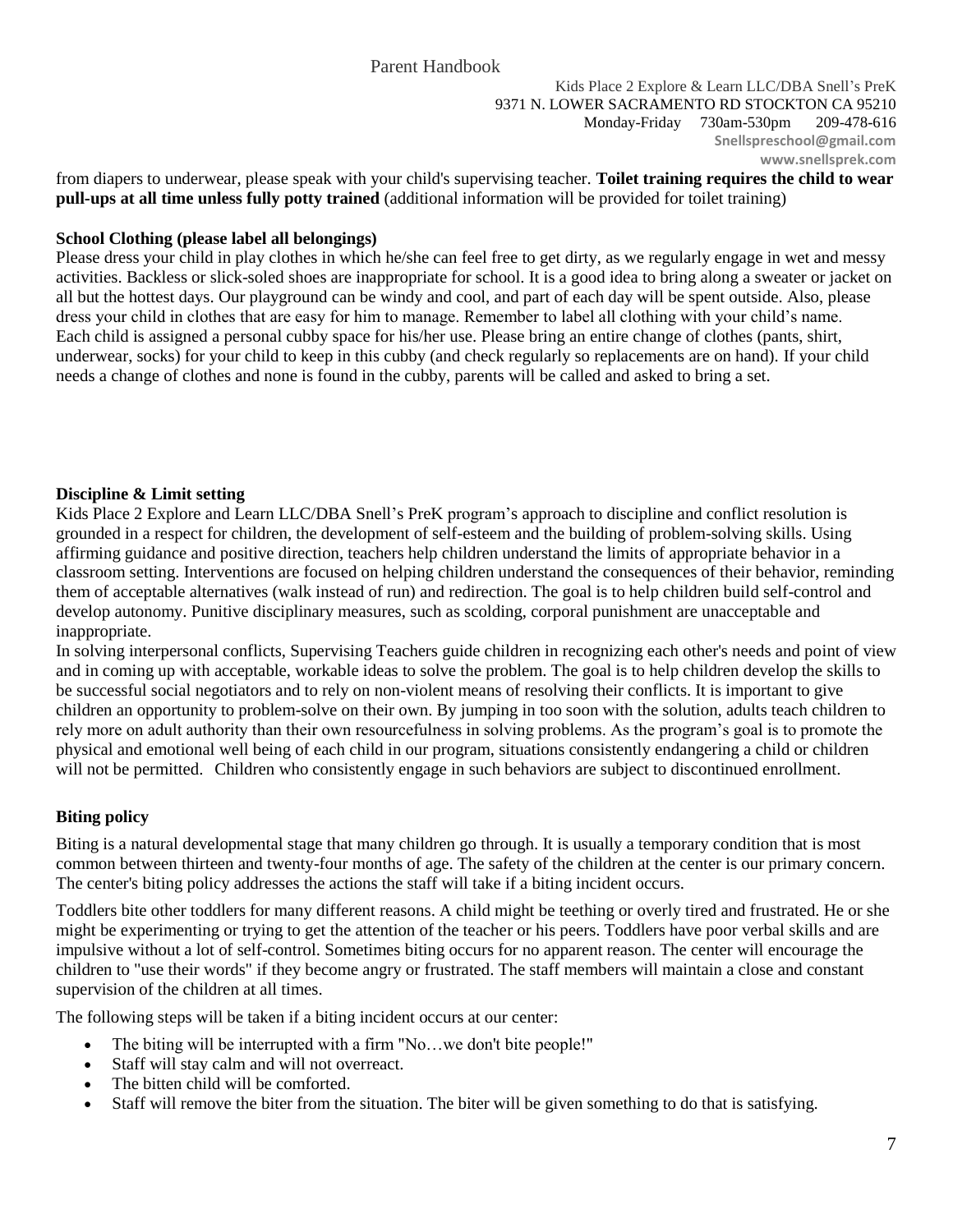from diapers to underwear, please speak with your child's supervising teacher. **Toilet training requires the child to wear pull-ups at all time unless fully potty trained** (additional information will be provided for toilet training[\)](https://www.miracosta.edu/Instruction/ChildDevelopmentCenter/parenthandbook.htm#top#top)

# **School Clothing (please label all belongings)**

Please dress your child in play clothes in which he/she can feel free to get dirty, as we regularly engage in wet and messy activities. Backless or slick-soled shoes are inappropriate for school. It is a good idea to bring along a sweater or jacket on all but the hottest days. Our playground can be windy and cool, and part of each day will be spent outside. Also, please dress your child in clothes that are easy for him to manage. Remember to label all clothing with your child's name. Each child is assigned a personal cubby space for his/her use. Please bring an entire change of clothes (pants, shirt, underwear, socks) for your child to keep in this cubby (and check regularly so replacements are on hand). If your child needs a change of clothes and none is found in the cubby, parents will be called and asked to bring a set.

# **Discipline & Limit setting**

Kids Place 2 Explore and Learn LLC/DBA Snell's PreK program's approach to discipline and conflict resolution is grounded in a respect for children, the development of self-esteem and the building of problem-solving skills. Using affirming guidance and positive direction, teachers help children understand the limits of appropriate behavior in a classroom setting. Interventions are focused on helping children understand the consequences of their behavior, reminding them of acceptable alternatives (walk instead of run) and redirection. The goal is to help children build self-control and develop autonomy. Punitive disciplinary measures, such as scolding, corporal punishment are unacceptable and inappropriate.

In solving interpersonal conflicts, Supervising Teachers guide children in recognizing each other's needs and point of view and in coming up with acceptable, workable ideas to solve the problem. The goal is to help children develop the skills to be successful social negotiators and to rely on non-violent means of resolving their conflicts. It is important to give children an opportunity to problem-solve on their own. By jumping in too soon with the solution, adults teach children to rely more on adult authority than their own resourcefulness in solving problems. As the program's goal is to promote the physical and emotional well being of each child in our program, situations consistently endangering a child or children will not be permitted. Children who consistently engage in such behaviors are subject to discontinued enrollment.

# **Biting policy**

Biting is a natural developmental stage that many children go through. It is usually a temporary condition that is most common between thirteen and twenty-four months of age. The safety of the children at the center is our primary concern. The center's biting policy addresses the actions the staff will take if a biting incident occurs.

Toddlers bite other toddlers for many different reasons. A child might be teething or overly tired and frustrated. He or she might be experimenting or trying to get the attention of the teacher or his peers. Toddlers have poor verbal skills and are impulsive without a lot of self-control. Sometimes biting occurs for no apparent reason. The center will encourage the children to "use their words" if they become angry or frustrated. The staff members will maintain a close and constant supervision of the children at all times.

The following steps will be taken if a biting incident occurs at our center:

- The biting will be interrupted with a firm "No…we don't bite people!"
- Staff will stay calm and will not overreact.
- The bitten child will be comforted.
- Staff will remove the biter from the situation. The biter will be given something to do that is satisfying.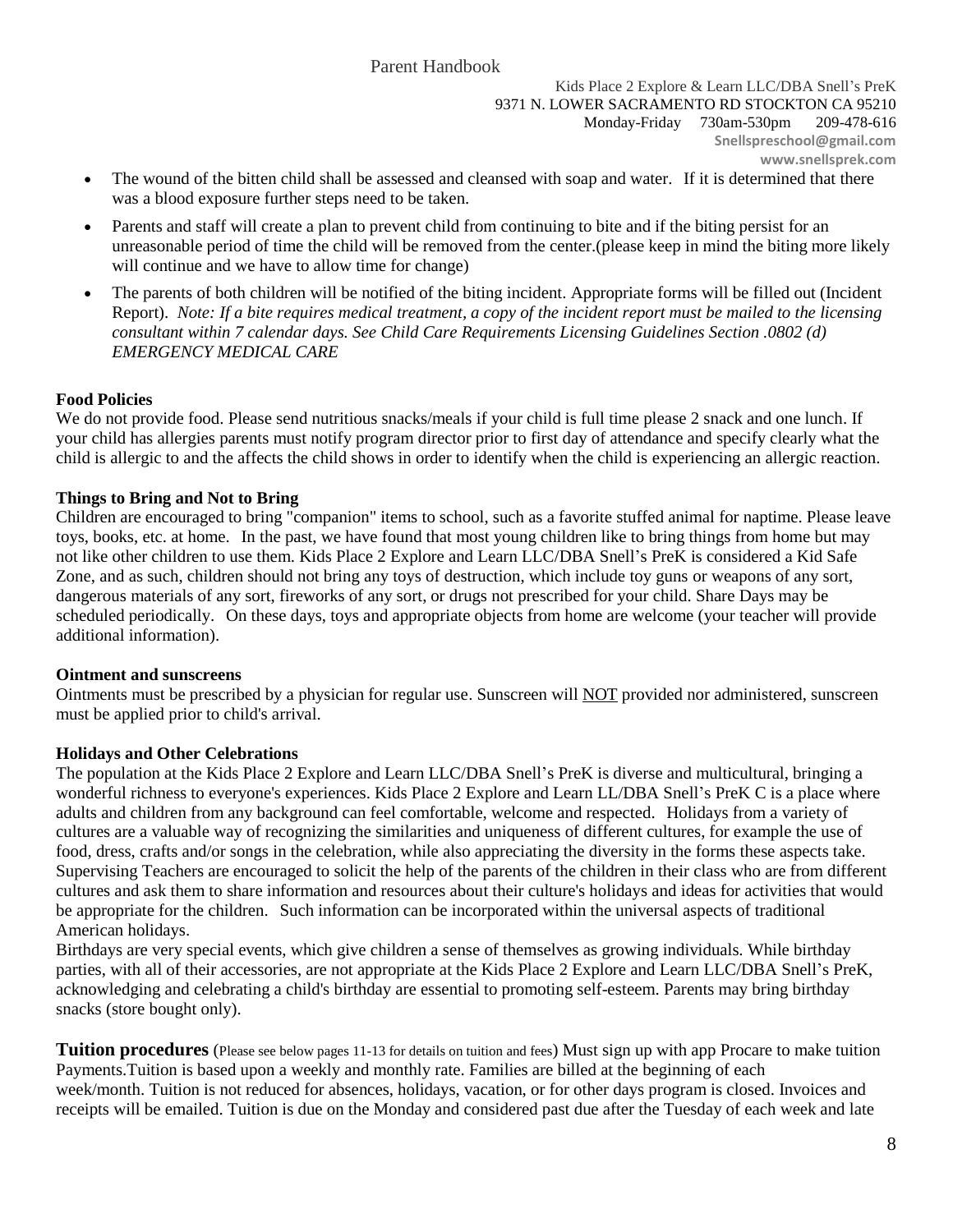- The wound of the bitten child shall be assessed and cleansed with soap and water. If it is determined that there was a blood exposure further steps need to be taken.
- Parents and staff will create a plan to prevent child from continuing to bite and if the biting persist for an unreasonable period of time the child will be removed from the center.(please keep in mind the biting more likely will continue and we have to allow time for change)
- The parents of both children will be notified of the biting incident. Appropriate forms will be filled out (Incident Report). *Note: If a bite requires medical treatment, a copy of the incident report must be mailed to the licensing consultant within 7 calendar days. See Child Care Requirements Licensing Guidelines Section .0802 (d) EMERGENCY MEDICAL CARE*

# **Food Policies**

We do not provide food. Please send nutritious snacks/meals if your child is full time please 2 snack and one lunch. If your child has allergies parents must notify program director prior to first day of attendance and specify clearly what the child is allergic to and the affects the child shows in order to identify when the child is experiencing an allergic reaction.

# **Things to Bring and Not to Bring**

Children are encouraged to bring "companion" items to school, such as a favorite stuffed animal for naptime. Please leave toys, books, etc. at home. In the past, we have found that most young children like to bring things from home but may not like other children to use them. Kids Place 2 Explore and Learn LLC/DBA Snell's PreK is considered a Kid Safe Zone, and as such, children should not bring any toys of destruction, which include toy guns or weapons of any sort, dangerous materials of any sort, fireworks of any sort, or drugs not prescribed for your child. Share Days may be scheduled periodically. On these days, toys and appropriate objects from home are welcome (your teacher will provide additional information).

# **Ointment and sunscreens**

Ointments must be prescribed by a physician for regular use. Sunscreen will NOT provided nor administered, sunscreen must be applied prior to child's arrival.

# **Holidays and Other Celebrations**

The population at the Kids Place 2 Explore and Learn LLC/DBA Snell's PreK is diverse and multicultural, bringing a wonderful richness to everyone's experiences. Kids Place 2 Explore and Learn LL/DBA Snell's PreK C is a place where adults and children from any background can feel comfortable, welcome and respected. Holidays from a variety of cultures are a valuable way of recognizing the similarities and uniqueness of different cultures, for example the use of food, dress, crafts and/or songs in the celebration, while also appreciating the diversity in the forms these aspects take. Supervising Teachers are encouraged to solicit the help of the parents of the children in their class who are from different cultures and ask them to share information and resources about their culture's holidays and ideas for activities that would be appropriate for the children. Such information can be incorporated within the universal aspects of traditional American holidays.

Birthdays are very special events, which give children a sense of themselves as growing individuals. While birthday parties, with all of their accessories, are not appropriate at the Kids Place 2 Explore and Learn LLC/DBA Snell's PreK, acknowledging and celebrating a child's birthday are essential to promoting self-esteem. Parents may bring birthday snacks (store bought only).

**Tuition procedures** (Please see below pages 11-13 for details on tuition and fees) Must sign up with app Procare to make tuition Payments.Tuition is based upon a weekly and monthly rate. Families are billed at the beginning of each week/month. Tuition is not reduced for absences, holidays, vacation, or for other days program is closed. Invoices and receipts will be emailed. Tuition is due on the Monday and considered past due after the Tuesday of each week and late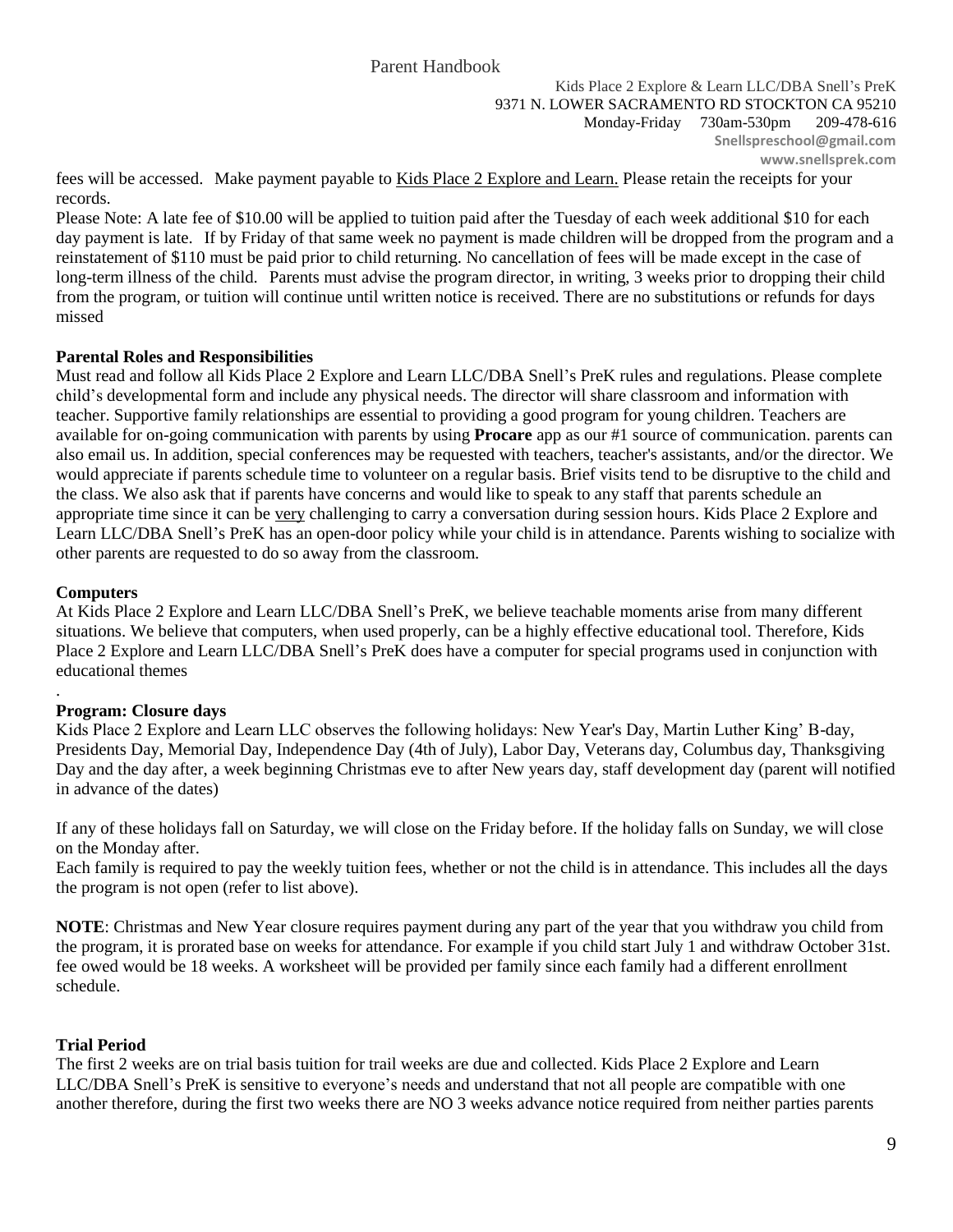fees will be accessed. Make payment payable to Kids Place 2 Explore and Learn. Please retain the receipts for your records.

Please Note: A late fee of \$10.00 will be applied to tuition paid after the Tuesday of each week additional \$10 for each day payment is late. If by Friday of that same week no payment is made children will be dropped from the program and a reinstatement of \$110 must be paid prior to child returning. No cancellation of fees will be made except in the case of long-term illness of the child. Parents must advise the program director, in writing, 3 weeks prior to dropping their child from the program, or tuition will continue until written notice is received. There are no substitutions or refunds for days missed

# **Parental Roles and Responsibilities**

Must read and follow all Kids Place 2 Explore and Learn LLC/DBA Snell's PreK rules and regulations. Please complete child's developmental form and include any physical needs. The director will share classroom and information with teacher. Supportive family relationships are essential to providing a good program for young children. Teachers are available for on-going communication with parents by using **Procare** app as our #1 source of communication. parents can also email us. In addition, special conferences may be requested with teachers, teacher's assistants, and/or the director. We would appreciate if parents schedule time to volunteer on a regular basis. Brief visits tend to be disruptive to the child and the class. We also ask that if parents have concerns and would like to speak to any staff that parents schedule an appropriate time since it can be very challenging to carry a conversation during session hours. Kids Place 2 Explore and Learn LLC/DBA Snell's PreK has an open-door policy while your child is in attendance. Parents wishing to socialize with other parents are requested to do so away from the classroom.

### **Computers**

.

At Kids Place 2 Explore and Learn LLC/DBA Snell's PreK, we believe teachable moments arise from many different situations. We believe that computers, when used properly, can be a highly effective educational tool. Therefore, Kids Place 2 Explore and Learn LLC/DBA Snell's PreK does have a computer for special programs used in conjunction with educational themes

# **Program: Closure days**

Kids Place 2 Explore and Learn LLC observes the following holidays: New Year's Day, Martin Luther King' B-day, Presidents Day, Memorial Day, Independence Day (4th of July), Labor Day, Veterans day, Columbus day, Thanksgiving Day and the day after, a week beginning Christmas eve to after New years day, staff development day (parent will notified in advance of the dates)

If any of these holidays fall on Saturday, we will close on the Friday before. If the holiday falls on Sunday, we will close on the Monday after.

Each family is required to pay the weekly tuition fees, whether or not the child is in attendance. This includes all the days the program is not open (refer to list above).

**NOTE**: Christmas and New Year closure requires payment during any part of the year that you withdraw you child from the program, it is prorated base on weeks for attendance. For example if you child start July 1 and withdraw October 31st. fee owed would be 18 weeks. A worksheet will be provided per family since each family had a different enrollment schedule.

# **Trial Period**

The first 2 weeks are on trial basis tuition for trail weeks are due and collected. Kids Place 2 Explore and Learn LLC/DBA Snell's PreK is sensitive to everyone's needs and understand that not all people are compatible with one another therefore, during the first two weeks there are NO 3 weeks advance notice required from neither parties parents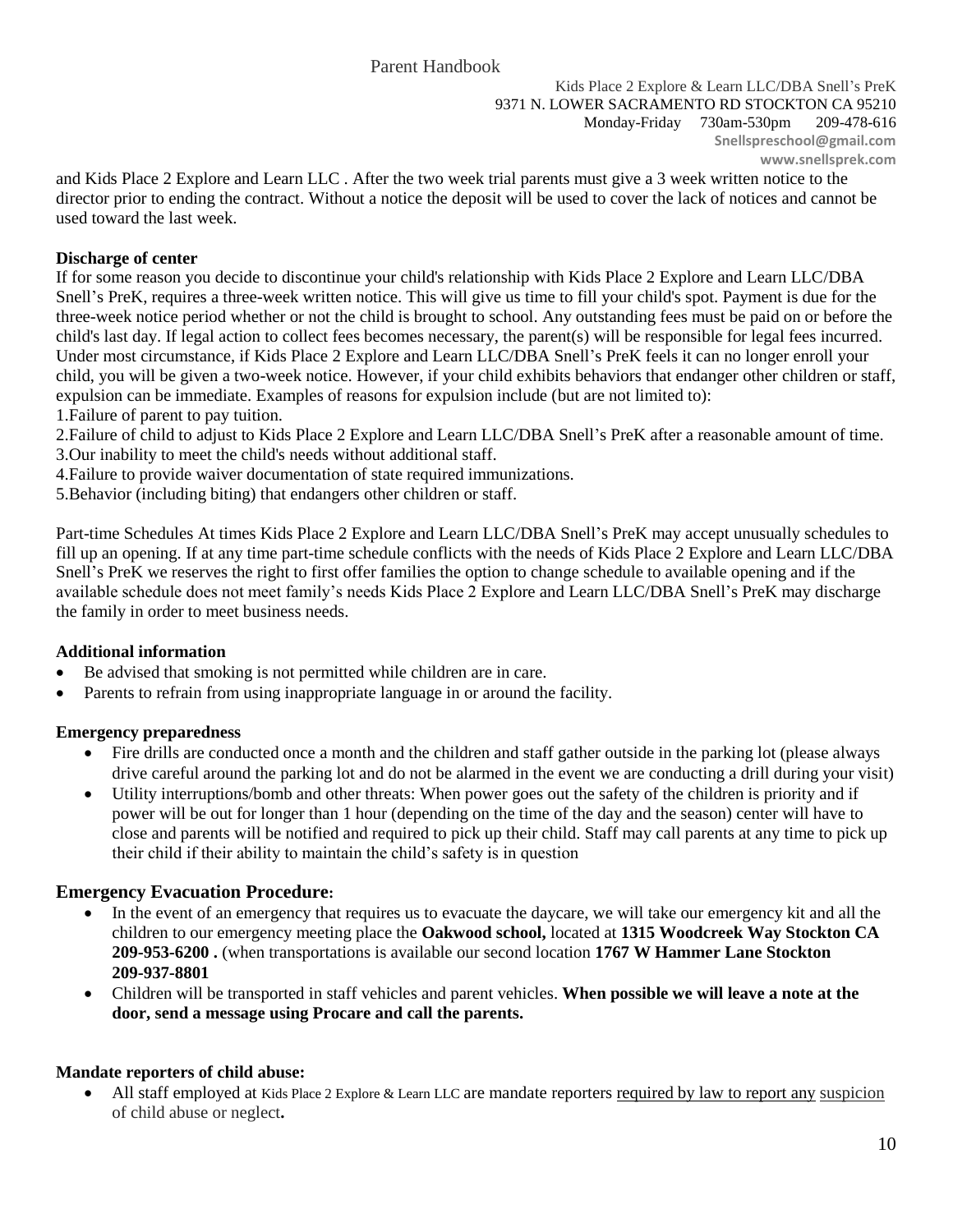and Kids Place 2 Explore and Learn LLC . After the two week trial parents must give a 3 week written notice to the director prior to ending the contract. Without a notice the deposit will be used to cover the lack of notices and cannot be used toward the last week.

# **Discharge of center**

If for some reason you decide to discontinue your child's relationship with Kids Place 2 Explore and Learn LLC/DBA Snell's PreK, requires a three-week written notice. This will give us time to fill your child's spot. Payment is due for the three-week notice period whether or not the child is brought to school. Any outstanding fees must be paid on or before the child's last day. If legal action to collect fees becomes necessary, the parent(s) will be responsible for legal fees incurred. Under most circumstance, if Kids Place 2 Explore and Learn LLC/DBA Snell's PreK feels it can no longer enroll your child, you will be given a two-week notice. However, if your child exhibits behaviors that endanger other children or staff, expulsion can be immediate. Examples of reasons for expulsion include (but are not limited to): 1.Failure of parent to pay tuition.

2.Failure of child to adjust to Kids Place 2 Explore and Learn LLC/DBA Snell's PreK after a reasonable amount of time. 3.Our inability to meet the child's needs without additional staff.

4.Failure to provide waiver documentation of state required immunizations.

5.Behavior (including biting) that endangers other children or staff.

Part-time Schedules At times Kids Place 2 Explore and Learn LLC/DBA Snell's PreK may accept unusually schedules to fill up an opening. If at any time part-time schedule conflicts with the needs of Kids Place 2 Explore and Learn LLC/DBA Snell's PreK we reserves the right to first offer families the option to change schedule to available opening and if the available schedule does not meet family's needs Kids Place 2 Explore and Learn LLC/DBA Snell's PreK may discharge the family in order to meet business needs.

# **Additional information**

- Be advised that smoking is not permitted while children are in care.
- Parents to refrain from using inappropriate language in or around the facility.

# **Emergency preparedness**

- Fire drills are conducted once a month and the children and staff gather outside in the parking lot (please always drive careful around the parking lot and do not be alarmed in the event we are conducting a drill during your visit)
- Utility interruptions/bomb and other threats: When power goes out the safety of the children is priority and if power will be out for longer than 1 hour (depending on the time of the day and the season) center will have to close and parents will be notified and required to pick up their child. Staff may call parents at any time to pick up their child if their ability to maintain the child's safety is in question

# **Emergency Evacuation Procedure:**

- In the event of an emergency that requires us to evacuate the daycare, we will take our emergency kit and all the children to our emergency meeting place the **Oakwood school,** located at **1315 Woodcreek Way Stockton CA 209-953-6200 .** (when transportations is available our second location **1767 W Hammer Lane Stockton 209-937-8801**
- Children will be transported in staff vehicles and parent vehicles. **When possible we will leave a note at the door, send a message using Procare and call the parents.**

# **Mandate reporters of child abuse:**

 All staff employed at Kids Place 2 Explore & Learn LLC are mandate reporters required by law to report any suspicion of child abuse or neglect**.**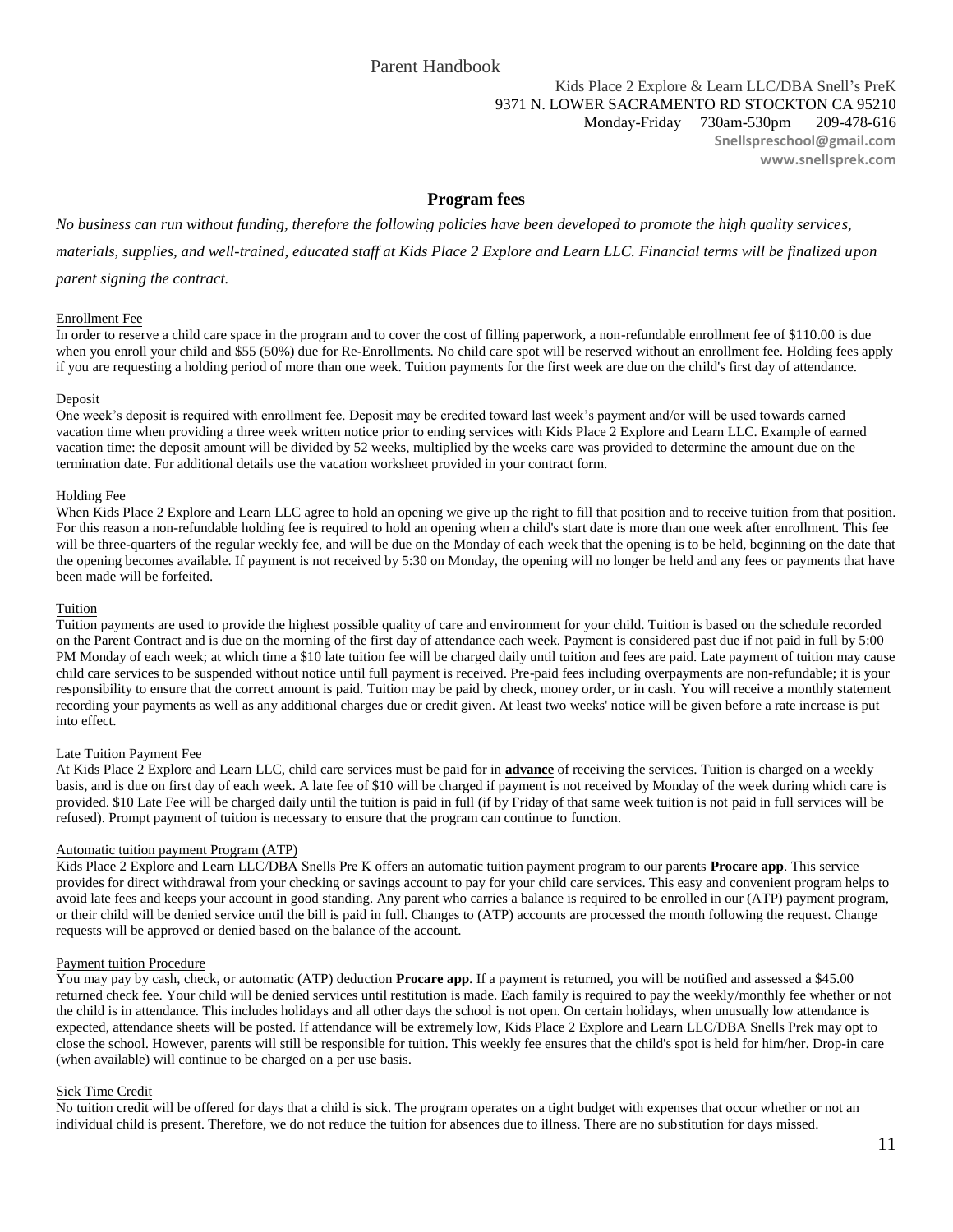### **Program fees**

*No business can run without funding, therefore the following policies have been developed to promote the high quality services, materials, supplies, and well-trained, educated staff at Kids Place 2 Explore and Learn LLC. Financial terms will be finalized upon* 

*parent signing the contract.* 

### Enrollment Fee

In order to reserve a child care space in the program and to cover the cost of filling paperwork, a non-refundable enrollment fee of \$110.00 is due when you enroll your child and \$55 (50%) due for Re-Enrollments. No child care spot will be reserved without an enrollment fee. Holding fees apply if you are requesting a holding period of more than one week. Tuition payments for the first week are due on the child's first day of attendance.

### Deposit

One week's deposit is required with enrollment fee. Deposit may be credited toward last week's payment and/or will be used towards earned vacation time when providing a three week written notice prior to ending services with Kids Place 2 Explore and Learn LLC. Example of earned vacation time: the deposit amount will be divided by 52 weeks, multiplied by the weeks care was provided to determine the amount due on the termination date. For additional details use the vacation worksheet provided in your contract form.

### Holding Fee

When Kids Place 2 Explore and Learn LLC agree to hold an opening we give up the right to fill that position and to receive tuition from that position. For this reason a non-refundable holding fee is required to hold an opening when a child's start date is more than one week after enrollment. This fee will be three-quarters of the regular weekly fee, and will be due on the Monday of each week that the opening is to be held, beginning on the date that the opening becomes available. If payment is not received by 5:30 on Monday, the opening will no longer be held and any fees or payments that have been made will be forfeited.

#### Tuition

Tuition payments are used to provide the highest possible quality of care and environment for your child. Tuition is based on the schedule recorded on the Parent Contract and is due on the morning of the first day of attendance each week. Payment is considered past due if not paid in full by 5:00 PM Monday of each week; at which time a \$10 late tuition fee will be charged daily until tuition and fees are paid. Late payment of tuition may cause child care services to be suspended without notice until full payment is received. Pre-paid fees including overpayments are non-refundable; it is your responsibility to ensure that the correct amount is paid. Tuition may be paid by check, money order, or in cash. You will receive a monthly statement recording your payments as well as any additional charges due or credit given. At least two weeks' notice will be given before a rate increase is put into effect.

### Late Tuition Payment Fee

At Kids Place 2 Explore and Learn LLC, child care services must be paid for in **advance** of receiving the services. Tuition is charged on a weekly basis, and is due on first day of each week. A late fee of \$10 will be charged if payment is not received by Monday of the week during which care is provided. \$10 Late Fee will be charged daily until the tuition is paid in full (if by Friday of that same week tuition is not paid in full services will be refused). Prompt payment of tuition is necessary to ensure that the program can continue to function.

### Automatic tuition payment Program (ATP)

Kids Place 2 Explore and Learn LLC/DBA Snells Pre K offers an automatic tuition payment program to our parents **Procare app**. This service provides for direct withdrawal from your checking or savings account to pay for your child care services. This easy and convenient program helps to avoid late fees and keeps your account in good standing. Any parent who carries a balance is required to be enrolled in our (ATP) payment program, or their child will be denied service until the bill is paid in full. Changes to (ATP) accounts are processed the month following the request. Change requests will be approved or denied based on the balance of the account.

### Payment tuition Procedure

You may pay by cash, check, or automatic (ATP) deduction **Procare app**. If a payment is returned, you will be notified and assessed a \$45.00 returned check fee. Your child will be denied services until restitution is made. Each family is required to pay the weekly/monthly fee whether or not the child is in attendance. This includes holidays and all other days the school is not open. On certain holidays, when unusually low attendance is expected, attendance sheets will be posted. If attendance will be extremely low, Kids Place 2 Explore and Learn LLC/DBA Snells Prek may opt to close the school. However, parents will still be responsible for tuition. This weekly fee ensures that the child's spot is held for him/her. Drop-in care (when available) will continue to be charged on a per use basis.

### Sick Time Credit

No tuition credit will be offered for days that a child is sick. The program operates on a tight budget with expenses that occur whether or not an individual child is present. Therefore, we do not reduce the tuition for absences due to illness. There are no substitution for days missed.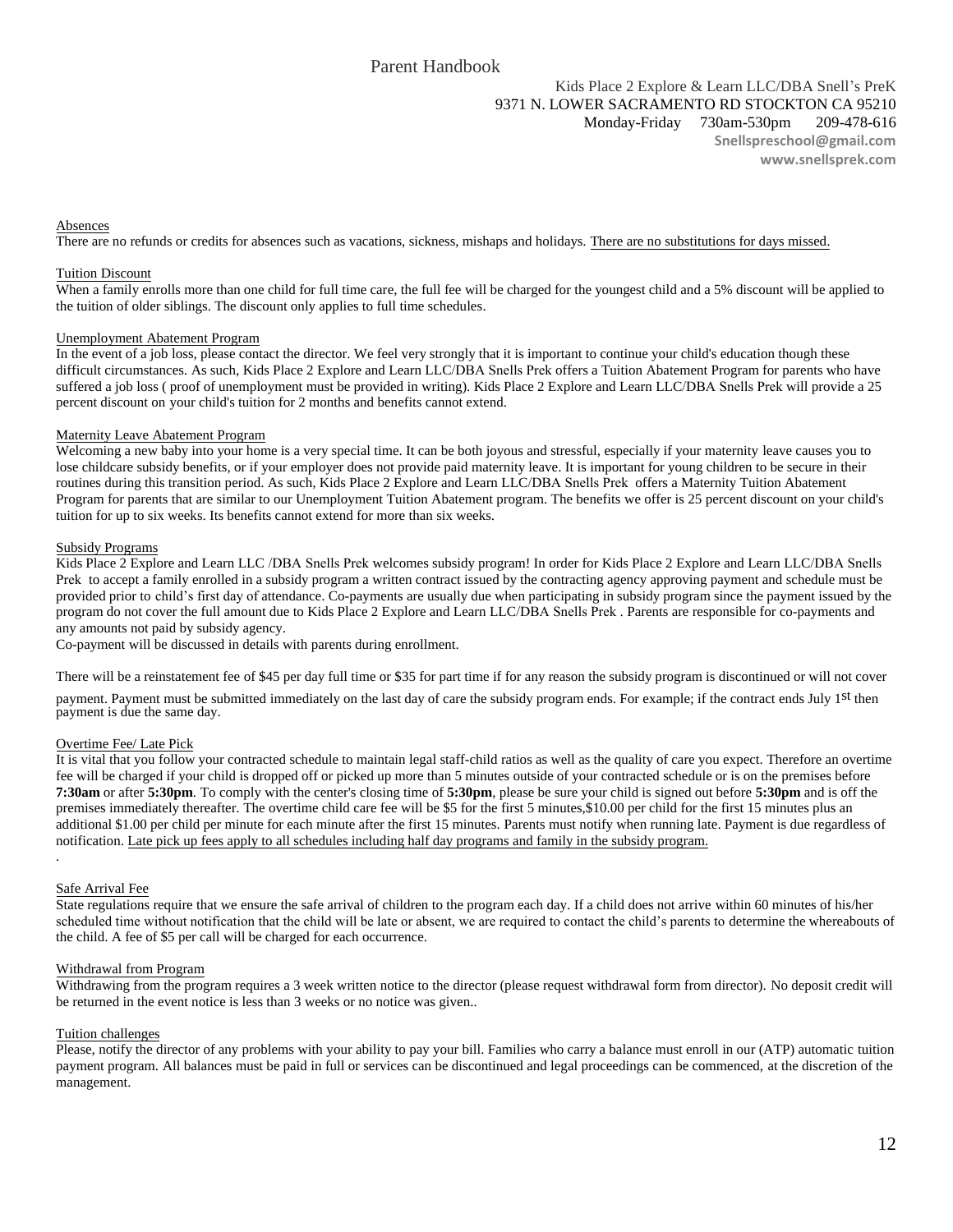### Absences

There are no refunds or credits for absences such as vacations, sickness, mishaps and holidays. There are no substitutions for days missed.

#### Tuition Discount

When a family enrolls more than one child for full time care, the full fee will be charged for the youngest child and a 5% discount will be applied to the tuition of older siblings. The discount only applies to full time schedules.

#### Unemployment Abatement Program

In the event of a job loss, please contact the director. We feel very strongly that it is important to continue your child's education though these difficult circumstances. As such, Kids Place 2 Explore and Learn LLC/DBA Snells Prek offers a Tuition Abatement Program for parents who have suffered a job loss ( proof of unemployment must be provided in writing). Kids Place 2 Explore and Learn LLC/DBA Snells Prek will provide a 25 percent discount on your child's tuition for 2 months and benefits cannot extend.

#### Maternity Leave Abatement Program

Welcoming a new baby into your home is a very special time. It can be both joyous and stressful, especially if your maternity leave causes you to lose childcare subsidy benefits, or if your employer does not provide paid maternity leave. It is important for young children to be secure in their routines during this transition period. As such, Kids Place 2 Explore and Learn LLC/DBA Snells Prek offers a Maternity Tuition Abatement Program for parents that are similar to our Unemployment Tuition Abatement program. The benefits we offer is 25 percent discount on your child's tuition for up to six weeks. Its benefits cannot extend for more than six weeks.

### Subsidy Programs

Kids Place 2 Explore and Learn LLC /DBA Snells Prek welcomes subsidy program! In order for Kids Place 2 Explore and Learn LLC/DBA Snells Prek to accept a family enrolled in a subsidy program a written contract issued by the contracting agency approving payment and schedule must be provided prior to child's first day of attendance. Co-payments are usually due when participating in subsidy program since the payment issued by the program do not cover the full amount due to Kids Place 2 Explore and Learn LLC/DBA Snells Prek . Parents are responsible for co-payments and any amounts not paid by subsidy agency.

Co-payment will be discussed in details with parents during enrollment.

There will be a reinstatement fee of \$45 per day full time or \$35 for part time if for any reason the subsidy program is discontinued or will not cover

payment. Payment must be submitted immediately on the last day of care the subsidy program ends. For example; if the contract ends July 1st then payment is due the same day.

### Overtime Fee/ Late Pick

It is vital that you follow your contracted schedule to maintain legal staff-child ratios as well as the quality of care you expect. Therefore an overtime fee will be charged if your child is dropped off or picked up more than 5 minutes outside of your contracted schedule or is on the premises before **7:30am** or after **5:30pm**. To comply with the center's closing time of **5:30pm**, please be sure your child is signed out before **5:30pm** and is off the premises immediately thereafter. The overtime child care fee will be \$5 for the first 5 minutes,\$10.00 per child for the first 15 minutes plus an additional \$1.00 per child per minute for each minute after the first 15 minutes. Parents must notify when running late. Payment is due regardless of notification. Late pick up fees apply to all schedules including half day programs and family in the subsidy program.

#### Safe Arrival Fee

.

State regulations require that we ensure the safe arrival of children to the program each day. If a child does not arrive within 60 minutes of his/her scheduled time without notification that the child will be late or absent, we are required to contact the child's parents to determine the whereabouts of the child. A fee of \$5 per call will be charged for each occurrence.

#### Withdrawal from Program

Withdrawing from the program requires a 3 week written notice to the director (please request withdrawal form from director). No deposit credit will be returned in the event notice is less than 3 weeks or no notice was given..

#### Tuition challenges

Please, notify the director of any problems with your ability to pay your bill. Families who carry a balance must enroll in our (ATP) automatic tuition payment program. All balances must be paid in full or services can be discontinued and legal proceedings can be commenced, at the discretion of the management.